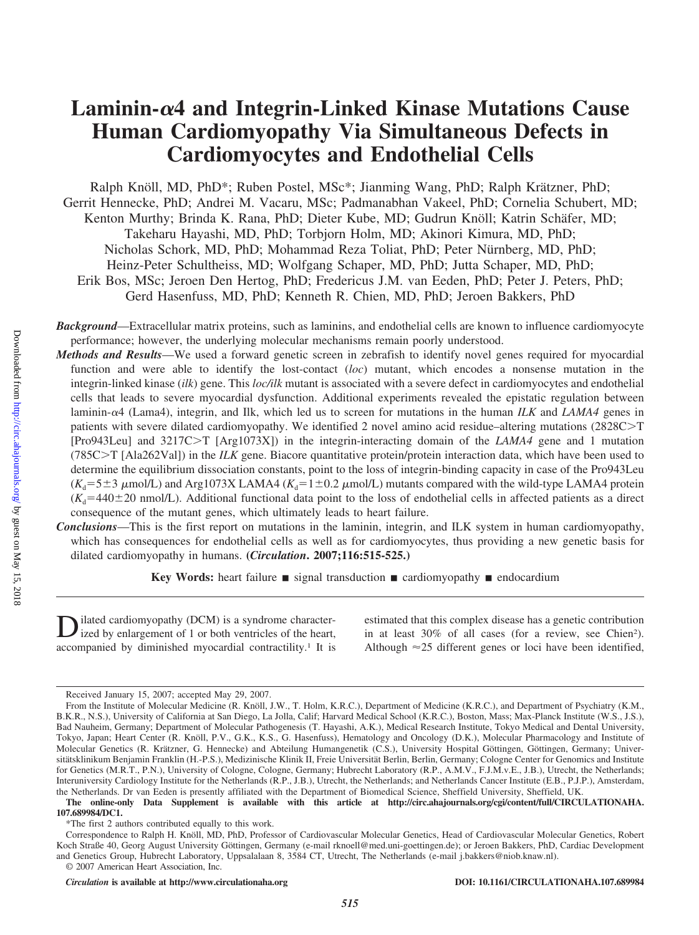# **Laminin-4 and Integrin-Linked Kinase Mutations Cause Human Cardiomyopathy Via Simultaneous Defects in Cardiomyocytes and Endothelial Cells**

Ralph Knöll, MD, PhD\*; Ruben Postel, MSc\*; Jianming Wang, PhD; Ralph Krätzner, PhD; Gerrit Hennecke, PhD; Andrei M. Vacaru, MSc; Padmanabhan Vakeel, PhD; Cornelia Schubert, MD; Kenton Murthy; Brinda K. Rana, PhD; Dieter Kube, MD; Gudrun Knöll; Katrin Schäfer, MD; Takeharu Hayashi, MD, PhD; Torbjorn Holm, MD; Akinori Kimura, MD, PhD; Nicholas Schork, MD, PhD; Mohammad Reza Toliat, PhD; Peter Nürnberg, MD, PhD; Heinz-Peter Schultheiss, MD; Wolfgang Schaper, MD, PhD; Jutta Schaper, MD, PhD; Erik Bos, MSc; Jeroen Den Hertog, PhD; Fredericus J.M. van Eeden, PhD; Peter J. Peters, PhD; Gerd Hasenfuss, MD, PhD; Kenneth R. Chien, MD, PhD; Jeroen Bakkers, PhD

*Background*—Extracellular matrix proteins, such as laminins, and endothelial cells are known to influence cardiomyocyte performance; however, the underlying molecular mechanisms remain poorly understood.

*Methods and Results*—We used a forward genetic screen in zebrafish to identify novel genes required for myocardial function and were able to identify the lost-contact (*loc*) mutant, which encodes a nonsense mutation in the integrin-linked kinase (*ilk*) gene. This *loc/ilk* mutant is associated with a severe defect in cardiomyocytes and endothelial cells that leads to severe myocardial dysfunction. Additional experiments revealed the epistatic regulation between laminin-4 (Lama4), integrin, and Ilk, which led us to screen for mutations in the human *ILK* and *LAMA4* genes in patients with severe dilated cardiomyopathy. We identified 2 novel amino acid residue–altering mutations  $(2828C>T)$ [Pro943Leu] and 3217CT [Arg1073X]) in the integrin-interacting domain of the *LAMA4* gene and 1 mutation (785CT [Ala262Val]) in the *ILK* gene. Biacore quantitative protein/protein interaction data, which have been used to determine the equilibrium dissociation constants, point to the loss of integrin-binding capacity in case of the Pro943Leu  $(K_d = 5 \pm 3 \mu$ mol/L) and Arg1073X LAMA4 ( $K_d = 1 \pm 0.2 \mu$ mol/L) mutants compared with the wild-type LAMA4 protein  $(K_d=440\pm20 \text{ nmol/L})$ . Additional functional data point to the loss of endothelial cells in affected patients as a direct consequence of the mutant genes, which ultimately leads to heart failure.

*Conclusions*—This is the first report on mutations in the laminin, integrin, and ILK system in human cardiomyopathy, which has consequences for endothelial cells as well as for cardiomyocytes, thus providing a new genetic basis for dilated cardiomyopathy in humans. **(***Circulation***. 2007;116:515-525.)**

Key Words: heart failure **s** signal transduction **s** cardiomyopathy **e** endocardium

ilated cardiomyopathy (DCM) is a syndrome characterized by enlargement of 1 or both ventricles of the heart, accompanied by diminished myocardial contractility.<sup>1</sup> It is

estimated that this complex disease has a genetic contribution in at least 30% of all cases (for a review, see Chien2). Although  $\approx$  25 different genes or loci have been identified,

**The online-only Data Supplement is available with this article at http://circ.ahajournals.org/cgi/content/full/CIRCULATIONAHA. 107.689984/DC1.**

\*The first 2 authors contributed equally to this work.

*Circulation* **is available at http://www.circulationaha.org DOI: 10.1161/CIRCULATIONAHA.107.689984**

Downloaded from http://circ.ahajournals.org/ by guest on May 15, 2018 Downloaded from <http://circ.ahajournals.org/> by guest on May 15, 2018

Received January 15, 2007; accepted May 29, 2007.

From the Institute of Molecular Medicine (R. Knöll, J.W., T. Holm, K.R.C.), Department of Medicine (K.R.C.), and Department of Psychiatry (K.M., B.K.R., N.S.), University of California at San Diego, La Jolla, Calif; Harvard Medical School (K.R.C.), Boston, Mass; Max-Planck Institute (W.S., J.S.), Bad Nauheim, Germany; Department of Molecular Pathogenesis (T. Hayashi, A.K.), Medical Research Institute, Tokyo Medical and Dental University, Tokyo, Japan; Heart Center (R. Knöll, P.V., G.K., K.S., G. Hasenfuss), Hematology and Oncology (D.K.), Molecular Pharmacology and Institute of Molecular Genetics (R. Krätzner, G. Hennecke) and Abteilung Humangenetik (C.S.), University Hospital Göttingen, Göttingen, Germany; Universitätsklinikum Benjamin Franklin (H.-P.S.), Medizinische Klinik II, Freie Universität Berlin, Berlin, Germany; Cologne Center for Genomics and Institute for Genetics (M.R.T., P.N.), University of Cologne, Cologne, Germany; Hubrecht Laboratory (R.P., A.M.V., F.J.M.v.E., J.B.), Utrecht, the Netherlands; Interuniversity Cardiology Institute for the Netherlands (R.P., J.B.), Utrecht, the Netherlands; and Netherlands Cancer Institute (E.B., P.J.P.), Amsterdam, the Netherlands. Dr van Eeden is presently affiliated with the Department of Biomedical Science, Sheffield University, Sheffield, UK.

Correspondence to Ralph H. Knöll, MD, PhD, Professor of Cardiovascular Molecular Genetics, Head of Cardiovascular Molecular Genetics, Robert Koch Straße 40, Georg August University Göttingen, Germany (e-mail rknoell@med.uni-goettingen.de); or Jeroen Bakkers, PhD, Cardiac Development and Genetics Group, Hubrecht Laboratory, Uppsalalaan 8, 3584 CT, Utrecht, The Netherlands (e-mail j.bakkers@niob.knaw.nl). © 2007 American Heart Association, Inc.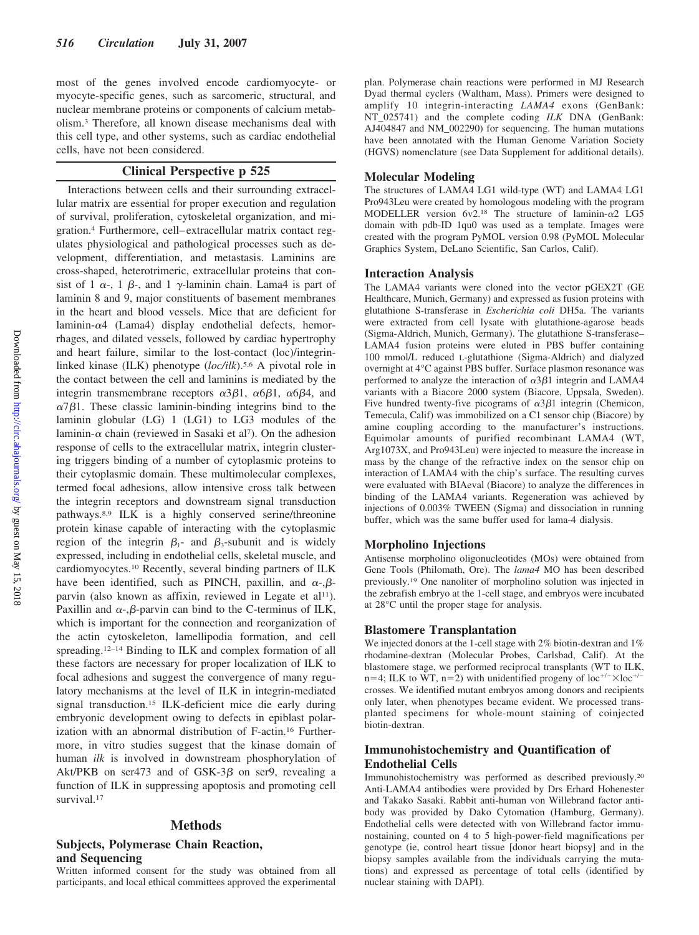most of the genes involved encode cardiomyocyte- or myocyte-specific genes, such as sarcomeric, structural, and nuclear membrane proteins or components of calcium metabolism.3 Therefore, all known disease mechanisms deal with this cell type, and other systems, such as cardiac endothelial cells, have not been considered.

# **Clinical Perspective p 525**

Interactions between cells and their surrounding extracellular matrix are essential for proper execution and regulation of survival, proliferation, cytoskeletal organization, and migration.4 Furthermore, cell– extracellular matrix contact regulates physiological and pathological processes such as development, differentiation, and metastasis. Laminins are cross-shaped, heterotrimeric, extracellular proteins that consist of 1  $\alpha$ -, 1  $\beta$ -, and 1  $\gamma$ -laminin chain. Lama4 is part of laminin 8 and 9, major constituents of basement membranes in the heart and blood vessels. Mice that are deficient for laminin- $\alpha$ 4 (Lama<sub>4</sub>) display endothelial defects, hemorrhages, and dilated vessels, followed by cardiac hypertrophy and heart failure, similar to the lost-contact (loc)/integrinlinked kinase (ILK) phenotype (*loc/ilk*).5,6 A pivotal role in the contact between the cell and laminins is mediated by the integrin transmembrane receptors  $\alpha 3\beta 1$ ,  $\alpha 6\beta 1$ ,  $\alpha 6\beta 4$ , and  $\alpha$ 7 $\beta$ 1. These classic laminin-binding integrins bind to the laminin globular (LG) 1 (LG1) to LG3 modules of the laminin- $\alpha$  chain (reviewed in Sasaki et al7). On the adhesion response of cells to the extracellular matrix, integrin clustering triggers binding of a number of cytoplasmic proteins to their cytoplasmic domain. These multimolecular complexes, termed focal adhesions, allow intensive cross talk between the integrin receptors and downstream signal transduction pathways.8,9 ILK is a highly conserved serine/threonine protein kinase capable of interacting with the cytoplasmic region of the integrin  $\beta_1$ - and  $\beta_3$ -subunit and is widely expressed, including in endothelial cells, skeletal muscle, and cardiomyocytes.10 Recently, several binding partners of ILK have been identified, such as PINCH, paxillin, and  $\alpha$ -, $\beta$ parvin (also known as affixin, reviewed in Legate et al<sup>11</sup>). Paxillin and  $\alpha$ -, $\beta$ -parvin can bind to the C-terminus of ILK, which is important for the connection and reorganization of the actin cytoskeleton, lamellipodia formation, and cell spreading.<sup>12-14</sup> Binding to ILK and complex formation of all these factors are necessary for proper localization of ILK to focal adhesions and suggest the convergence of many regulatory mechanisms at the level of ILK in integrin-mediated signal transduction.15 ILK-deficient mice die early during embryonic development owing to defects in epiblast polarization with an abnormal distribution of F-actin.16 Furthermore, in vitro studies suggest that the kinase domain of human *ilk* is involved in downstream phosphorylation of Akt/PKB on ser473 and of GSK-3 $\beta$  on ser9, revealing a function of ILK in suppressing apoptosis and promoting cell survival.<sup>17</sup>

#### **Methods**

## **Subjects, Polymerase Chain Reaction, and Sequencing**

Written informed consent for the study was obtained from all participants, and local ethical committees approved the experimental

plan. Polymerase chain reactions were performed in MJ Research Dyad thermal cyclers (Waltham, Mass). Primers were designed to amplify 10 integrin-interacting *LAMA4* exons (GenBank: NT\_025741) and the complete coding *ILK* DNA (GenBank: AJ404847 and NM\_002290) for sequencing. The human mutations have been annotated with the Human Genome Variation Society (HGVS) nomenclature (see Data Supplement for additional details).

#### **Molecular Modeling**

The structures of LAMA4 LG1 wild-type (WT) and LAMA4 LG1 Pro943Leu were created by homologous modeling with the program MODELLER version  $6v2^{18}$  The structure of laminin- $\alpha$ <sup>2</sup> LG5 domain with pdb-ID 1qu0 was used as a template. Images were created with the program PyMOL version 0.98 (PyMOL Molecular Graphics System, DeLano Scientific, San Carlos, Calif).

#### **Interaction Analysis**

The LAMA4 variants were cloned into the vector pGEX2T (GE Healthcare, Munich, Germany) and expressed as fusion proteins with glutathione S-transferase in *Escherichia coli* DH5a. The variants were extracted from cell lysate with glutathione-agarose beads (Sigma-Aldrich, Munich, Germany). The glutathione S-transferase– LAMA4 fusion proteins were eluted in PBS buffer containing 100 mmol/L reduced L-glutathione (Sigma-Aldrich) and dialyzed overnight at 4°C against PBS buffer. Surface plasmon resonance was performed to analyze the interaction of  $\alpha$ 3 $\beta$ 1 integrin and LAMA4 variants with a Biacore 2000 system (Biacore, Uppsala, Sweden). Five hundred twenty-five picograms of  $\alpha 3\beta 1$  integrin (Chemicon, Temecula, Calif) was immobilized on a C1 sensor chip (Biacore) by amine coupling according to the manufacturer's instructions. Equimolar amounts of purified recombinant LAMA4 (WT, Arg1073X, and Pro943Leu) were injected to measure the increase in mass by the change of the refractive index on the sensor chip on interaction of LAMA4 with the chip's surface. The resulting curves were evaluated with BIAeval (Biacore) to analyze the differences in binding of the LAMA4 variants. Regeneration was achieved by injections of 0.003% TWEEN (Sigma) and dissociation in running buffer, which was the same buffer used for lama-4 dialysis.

#### **Morpholino Injections**

Antisense morpholino oligonucleotides (MOs) were obtained from Gene Tools (Philomath, Ore). The *lama4* MO has been described previously.19 One nanoliter of morpholino solution was injected in the zebrafish embryo at the 1-cell stage, and embryos were incubated at 28°C until the proper stage for analysis.

#### **Blastomere Transplantation**

We injected donors at the 1-cell stage with 2% biotin-dextran and 1% rhodamine-dextran (Molecular Probes, Carlsbad, Calif). At the blastomere stage, we performed reciprocal transplants (WT to ILK,  $n=4$ ; ILK to WT,  $n=2$ ) with unidentified progeny of  $loc^{+/-}\times loc^{+/-}$ crosses. We identified mutant embryos among donors and recipients only later, when phenotypes became evident. We processed transplanted specimens for whole-mount staining of coinjected biotin-dextran.

# **Immunohistochemistry and Quantification of Endothelial Cells**

Immunohistochemistry was performed as described previously.20 Anti-LAMA4 antibodies were provided by Drs Erhard Hohenester and Takako Sasaki. Rabbit anti-human von Willebrand factor antibody was provided by Dako Cytomation (Hamburg, Germany). Endothelial cells were detected with von Willebrand factor immunostaining, counted on 4 to 5 high-power-field magnifications per genotype (ie, control heart tissue [donor heart biopsy] and in the biopsy samples available from the individuals carrying the mutations) and expressed as percentage of total cells (identified by nuclear staining with DAPI).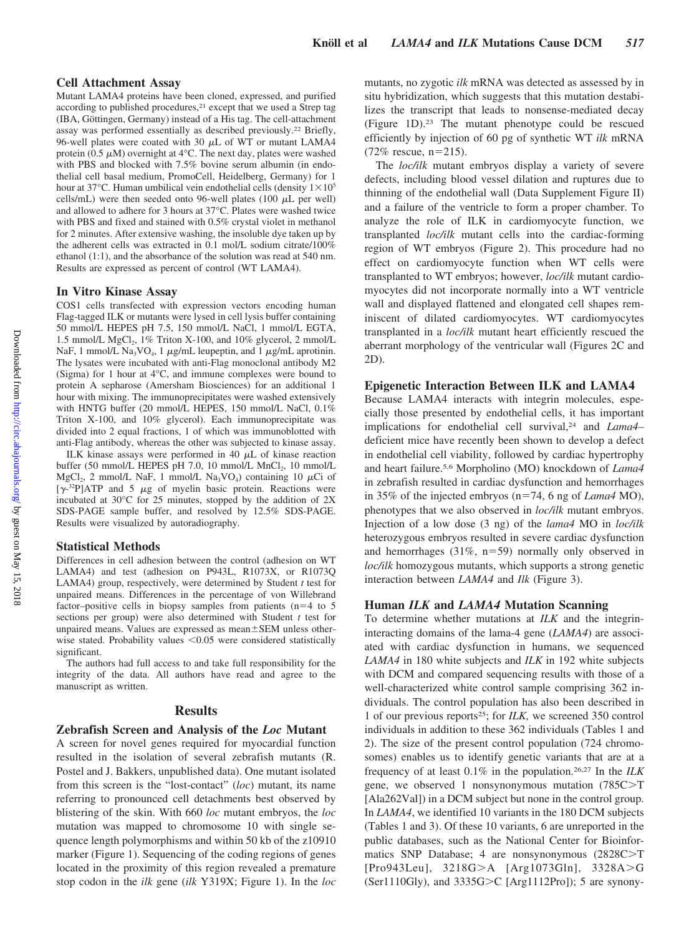#### **Cell Attachment Assay**

Mutant LAMA4 proteins have been cloned, expressed, and purified according to published procedures,<sup>21</sup> except that we used a Strep tag (IBA, Göttingen, Germany) instead of a His tag. The cell-attachment assay was performed essentially as described previously.22 Briefly, 96-well plates were coated with 30  $\mu$ L of WT or mutant LAMA4 protein (0.5  $\mu$ M) overnight at 4°C. The next day, plates were washed with PBS and blocked with 7.5% bovine serum albumin (in endothelial cell basal medium, PromoCell, Heidelberg, Germany) for 1 hour at 37°C. Human umbilical vein endothelial cells (density  $1 \times 10^5$ ) cells/mL) were then seeded onto 96-well plates (100  $\mu$ L per well) and allowed to adhere for 3 hours at 37°C. Plates were washed twice with PBS and fixed and stained with 0.5% crystal violet in methanol for 2 minutes. After extensive washing, the insoluble dye taken up by the adherent cells was extracted in 0.1 mol/L sodium citrate/100% ethanol (1:1), and the absorbance of the solution was read at 540 nm. Results are expressed as percent of control (WT LAMA4).

#### **In Vitro Kinase Assay**

COS1 cells transfected with expression vectors encoding human Flag-tagged ILK or mutants were lysed in cell lysis buffer containing 50 mmol/L HEPES pH 7.5, 150 mmol/L NaCl, 1 mmol/L EGTA, 1.5 mmol/L  $MgCl<sub>2</sub>$ , 1% Triton X-100, and 10% glycerol, 2 mmol/L NaF, 1 mmol/L Na<sub>3</sub>VO<sub>4</sub>, 1  $\mu$ g/mL leupeptin, and 1  $\mu$ g/mL aprotinin. The lysates were incubated with anti-Flag monoclonal antibody M2 (Sigma) for 1 hour at 4°C, and immune complexes were bound to protein A sepharose (Amersham Biosciences) for an additional 1 hour with mixing. The immunoprecipitates were washed extensively with HNTG buffer (20 mmol/L HEPES, 150 mmol/L NaCl, 0.1% Triton X-100, and 10% glycerol). Each immunoprecipitate was divided into 2 equal fractions, 1 of which was immunoblotted with anti-Flag antibody, whereas the other was subjected to kinase assay.

ILK kinase assays were performed in 40  $\mu$ L of kinase reaction buffer (50 mmol/L HEPES pH 7.0, 10 mmol/L MnCl<sub>2</sub>, 10 mmol/L  $MgCl_2$ , 2 mmol/L NaF, 1 mmol/L Na<sub>3</sub>VO<sub>4</sub>) containing 10  $\mu$ Ci of  $[\gamma^{-32}P]$ ATP and 5  $\mu$ g of myelin basic protein. Reactions were incubated at 30°C for 25 minutes, stopped by the addition of 2X SDS-PAGE sample buffer, and resolved by 12.5% SDS-PAGE. Results were visualized by autoradiography.

#### **Statistical Methods**

Differences in cell adhesion between the control (adhesion on WT LAMA4) and test (adhesion on P943L, R1073X, or R1073Q LAMA4) group, respectively, were determined by Student *t* test for unpaired means. Differences in the percentage of von Willebrand factor–positive cells in biopsy samples from patients  $(n=4$  to 5 sections per group) were also determined with Student *t* test for unpaired means. Values are expressed as mean $\pm$ SEM unless otherwise stated. Probability values  $< 0.05$  were considered statistically significant.

The authors had full access to and take full responsibility for the integrity of the data. All authors have read and agree to the manuscript as written.

#### **Results**

#### **Zebrafish Screen and Analysis of the** *Loc* **Mutant**

A screen for novel genes required for myocardial function resulted in the isolation of several zebrafish mutants (R. Postel and J. Bakkers, unpublished data). One mutant isolated from this screen is the "lost-contact" (*loc*) mutant, its name referring to pronounced cell detachments best observed by blistering of the skin. With 660 *loc* mutant embryos, the *loc* mutation was mapped to chromosome 10 with single sequence length polymorphisms and within 50 kb of the z10910 marker (Figure 1). Sequencing of the coding regions of genes located in the proximity of this region revealed a premature stop codon in the *ilk* gene (*ilk* Y319X; Figure 1). In the *loc* mutants, no zygotic *ilk* mRNA was detected as assessed by in situ hybridization, which suggests that this mutation destabilizes the transcript that leads to nonsense-mediated decay (Figure 1D).23 The mutant phenotype could be rescued efficiently by injection of 60 pg of synthetic WT *ilk* mRNA  $(72\% \text{ rescue}, \text{n=215}).$ 

The *loc/ilk* mutant embryos display a variety of severe defects, including blood vessel dilation and ruptures due to thinning of the endothelial wall (Data Supplement Figure II) and a failure of the ventricle to form a proper chamber. To analyze the role of ILK in cardiomyocyte function, we transplanted *loc/ilk* mutant cells into the cardiac-forming region of WT embryos (Figure 2). This procedure had no effect on cardiomyocyte function when WT cells were transplanted to WT embryos; however, *loc/ilk* mutant cardiomyocytes did not incorporate normally into a WT ventricle wall and displayed flattened and elongated cell shapes reminiscent of dilated cardiomyocytes. WT cardiomyocytes transplanted in a *loc/ilk* mutant heart efficiently rescued the aberrant morphology of the ventricular wall (Figures 2C and 2D).

#### **Epigenetic Interaction Between ILK and LAMA4**

Because LAMA4 interacts with integrin molecules, especially those presented by endothelial cells, it has important implications for endothelial cell survival,<sup>24</sup> and *Lama4*deficient mice have recently been shown to develop a defect in endothelial cell viability, followed by cardiac hypertrophy and heart failure.5,6 Morpholino (MO) knockdown of *Lama4* in zebrafish resulted in cardiac dysfunction and hemorrhages in 35% of the injected embryos (n=74, 6 ng of *Lama4* MO), phenotypes that we also observed in *loc/ilk* mutant embryos. Injection of a low dose (3 ng) of the *lama4* MO in *loc/ilk* heterozygous embryos resulted in severe cardiac dysfunction and hemorrhages  $(31\%, n=59)$  normally only observed in *loc/ilk* homozygous mutants, which supports a strong genetic interaction between *LAMA4* and *Ilk* (Figure 3).

### **Human** *ILK* **and** *LAMA4* **Mutation Scanning**

To determine whether mutations at *ILK* and the integrininteracting domains of the lama-4 gene (*LAMA4*) are associated with cardiac dysfunction in humans, we sequenced *LAMA4* in 180 white subjects and *ILK* in 192 white subjects with DCM and compared sequencing results with those of a well-characterized white control sample comprising 362 individuals. The control population has also been described in 1 of our previous reports25; for *ILK,* we screened 350 control individuals in addition to these 362 individuals (Tables 1 and 2). The size of the present control population (724 chromosomes) enables us to identify genetic variants that are at a frequency of at least 0.1% in the population.26,27 In the *ILK* gene, we observed 1 nonsynonymous mutation (785C>T [Ala262Val]) in a DCM subject but none in the control group. In *LAMA4*, we identified 10 variants in the 180 DCM subjects (Tables 1 and 3). Of these 10 variants, 6 are unreported in the public databases, such as the National Center for Bioinformatics SNP Database; 4 are nonsynonymous  $(2828C>T)$ [Pro943Leu], 3218G>A [Arg1073Gln], 3328A>G (Ser1110Gly), and  $3335G > C$  [Arg1112Pro]); 5 are synony-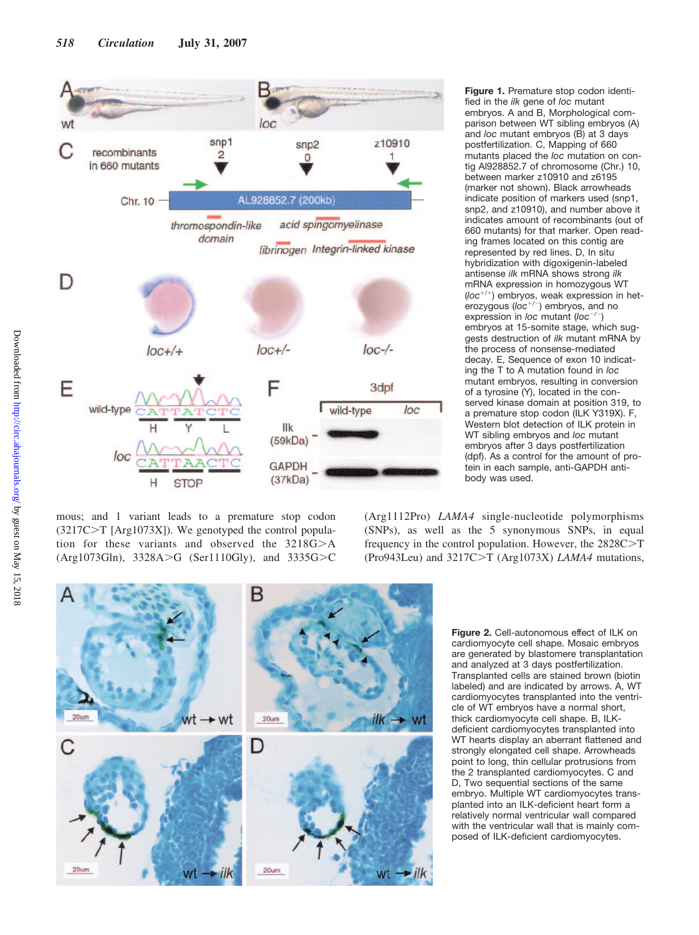

mous; and 1 variant leads to a premature stop codon  $(3217C>T [Arg1073X])$ . We genotyped the control population for these variants and observed the  $3218G > A$ (Arg1073Gln),  $3328A > G$  (Ser1110Gly), and  $3335G > C$ 

**Figure 1.** Premature stop codon identified in the *ilk* gene of *loc* mutant embryos. A and B, Morphological comparison between WT sibling embryos (A) and *loc* mutant embryos (B) at 3 days postfertilization. C, Mapping of 660 mutants placed the *loc* mutation on contig Al928852.7 of chromosome (Chr.) 10, between marker z10910 and z6195 (marker not shown). Black arrowheads indicate position of markers used (snp1, snp2, and z10910), and number above it indicates amount of recombinants (out of 660 mutants) for that marker. Open reading frames located on this contig are represented by red lines. D, In situ hybridization with digoxigenin-labeled antisense *ilk* mRNA shows strong *ilk* mRNA expression in homozygous WT (loc<sup>+/+</sup>) embryos, weak expression in heterozygous (loc<sup>+/-</sup>) embryos, and no expression in *loc* mutant (loc<sup>-/-</sup>) embryos at 15-somite stage, which suggests destruction of *ilk* mutant mRNA by the process of nonsense-mediated decay. E, Sequence of exon 10 indicating the T to A mutation found in *loc* mutant embryos, resulting in conversion of a tyrosine (Y), located in the conserved kinase domain at position 319, to a premature stop codon (ILK Y319X). F, Western blot detection of ILK protein in WT sibling embryos and *loc* mutant embryos after 3 days postfertilization (dpf). As a control for the amount of protein in each sample, anti-GAPDH antibody was used.

(Arg1112Pro) *LAMA4* single-nucleotide polymorphisms (SNPs), as well as the 5 synonymous SNPs, in equal frequency in the control population. However, the  $2828C>T$ (Pro943Leu) and 3217C>T (Arg1073X) *LAMA4* mutations,



**Figure 2.** Cell-autonomous effect of ILK on cardiomyocyte cell shape. Mosaic embryos are generated by blastomere transplantation and analyzed at 3 days postfertilization. Transplanted cells are stained brown (biotin labeled) and are indicated by arrows. A, WT cardiomyocytes transplanted into the ventricle of WT embryos have a normal short, thick cardiomyocyte cell shape. B, ILKdeficient cardiomyocytes transplanted into WT hearts display an aberrant flattened and strongly elongated cell shape. Arrowheads point to long, thin cellular protrusions from the 2 transplanted cardiomyocytes. C and D, Two sequential sections of the same embryo. Multiple WT cardiomyocytes transplanted into an ILK-deficient heart form a relatively normal ventricular wall compared with the ventricular wall that is mainly composed of ILK-deficient cardiomyocytes.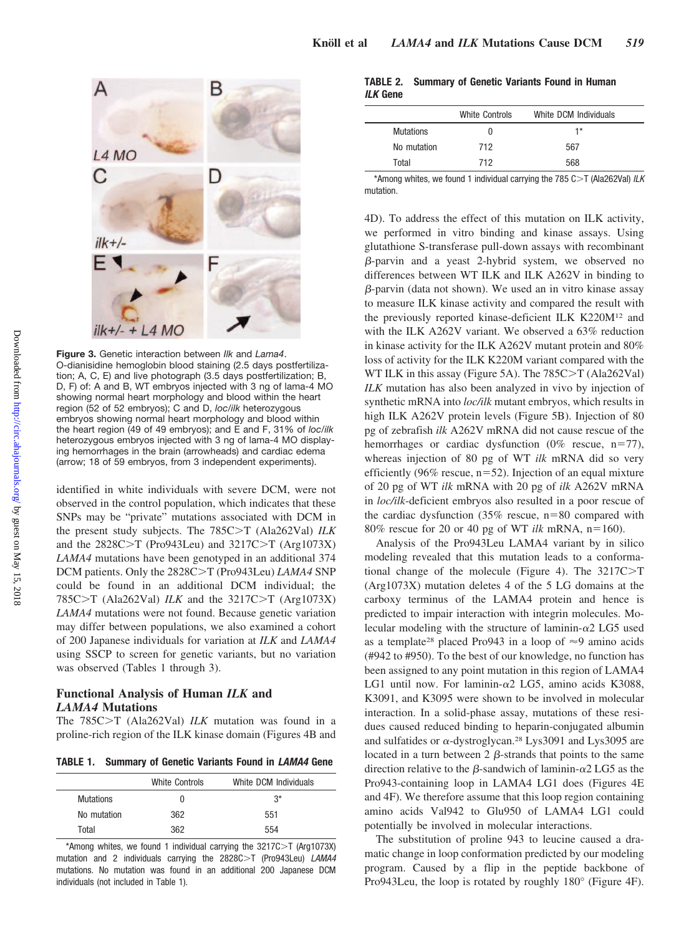

**Figure 3.** Genetic interaction between *Ilk* and *Lama4*. O-dianisidine hemoglobin blood staining (2.5 days postfertilization; A, C, E) and live photograph (3.5 days postfertilization; B, D, F) of: A and B, WT embryos injected with 3 ng of lama-4 MO showing normal heart morphology and blood within the heart region (52 of 52 embryos); C and D, *loc/ilk* heterozygous embryos showing normal heart morphology and blood within the heart region (49 of 49 embryos); and E and F, 31% of *loc/ilk* heterozygous embryos injected with 3 ng of lama-4 MO displaying hemorrhages in the brain (arrowheads) and cardiac edema (arrow; 18 of 59 embryos, from 3 independent experiments).

identified in white individuals with severe DCM, were not observed in the control population, which indicates that these SNPs may be "private" mutations associated with DCM in the present study subjects. The 785C>T (Ala262Val) ILK and the  $2828C>T$  (Pro943Leu) and  $3217C>T$  (Arg1073X) *LAMA4* mutations have been genotyped in an additional 374 DCM patients. Only the 2828C>T (Pro943Leu) *LAMA4* SNP could be found in an additional DCM individual; the 785C $\geq$ T (Ala262Val) *ILK* and the 3217C $\geq$ T (Arg1073X) *LAMA4* mutations were not found. Because genetic variation may differ between populations, we also examined a cohort of 200 Japanese individuals for variation at *ILK* and *LAMA4* using SSCP to screen for genetic variants, but no variation was observed (Tables 1 through 3).

#### **Functional Analysis of Human** *ILK* **and** *LAMA4* **Mutations**

The 785C>T (Ala262Val) *ILK* mutation was found in a proline-rich region of the ILK kinase domain (Figures 4B and

**TABLE 1. Summary of Genetic Variants Found in** *LAMA4* **Gene**

|                  | White Controls | White DCM Individuals |
|------------------|----------------|-----------------------|
| <b>Mutations</b> | 0              | $3^*$                 |
| No mutation      | 362            | 551                   |
| Total            | 362            | 554                   |

\*Among whites, we found 1 individual carrying the  $3217C > T$  (Arg1073X) mutation and 2 individuals carrying the 2828C>T (Pro943Leu) LAMA4 mutations. No mutation was found in an additional 200 Japanese DCM individuals (not included in Table 1).

|                 | TABLE 2. Summary of Genetic Variants Found in Human |  |  |  |
|-----------------|-----------------------------------------------------|--|--|--|
| <i>ILK</i> Gene |                                                     |  |  |  |

|             | White Controls | White DCM Individuals |  |
|-------------|----------------|-----------------------|--|
| Mutations   | O              | 1*                    |  |
| No mutation | 712            | 567                   |  |
| Total       | 712            | 568                   |  |

\*Among whites, we found 1 individual carrying the 785 C>T (Ala262Val) *ILK* mutation.

4D). To address the effect of this mutation on ILK activity, we performed in vitro binding and kinase assays. Using glutathione S-transferase pull-down assays with recombinant  $\beta$ -parvin and a yeast 2-hybrid system, we observed no differences between WT ILK and ILK A262V in binding to  $\beta$ -parvin (data not shown). We used an in vitro kinase assay to measure ILK kinase activity and compared the result with the previously reported kinase-deficient ILK K220M12 and with the ILK A262V variant. We observed a 63% reduction in kinase activity for the ILK A262V mutant protein and 80% loss of activity for the ILK K220M variant compared with the WT ILK in this assay (Figure 5A). The  $785C > T$  (Ala262Val) *ILK* mutation has also been analyzed in vivo by injection of synthetic mRNA into *loc/ilk* mutant embryos, which results in high ILK A262V protein levels (Figure 5B). Injection of 80 pg of zebrafish *ilk* A262V mRNA did not cause rescue of the hemorrhages or cardiac dysfunction  $(0\%$  rescue, n=77), whereas injection of 80 pg of WT *ilk* mRNA did so very efficiently (96% rescue,  $n=52$ ). Injection of an equal mixture of 20 pg of WT *ilk* mRNA with 20 pg of *ilk* A262V mRNA in *loc/ilk*-deficient embryos also resulted in a poor rescue of the cardiac dysfunction  $(35\%$  rescue, n=80 compared with  $80\%$  rescue for 20 or 40 pg of WT *ilk* mRNA,  $n=160$ ).

Analysis of the Pro943Leu LAMA4 variant by in silico modeling revealed that this mutation leads to a conformational change of the molecule (Figure 4). The  $3217C > T$ (Arg1073X) mutation deletes 4 of the 5 LG domains at the carboxy terminus of the LAMA4 protein and hence is predicted to impair interaction with integrin molecules. Molecular modeling with the structure of laminin- $\alpha$ 2 LG5 used as a template<sup>28</sup> placed Pro943 in a loop of  $\approx$ 9 amino acids (#942 to #950). To the best of our knowledge, no function has been assigned to any point mutation in this region of LAMA4 LG1 until now. For laminin- $\alpha$ 2 LG5, amino acids K3088, K3091, and K3095 were shown to be involved in molecular interaction. In a solid-phase assay, mutations of these residues caused reduced binding to heparin-conjugated albumin and sulfatides or  $\alpha$ -dystroglycan.<sup>28</sup> Lys3091 and Lys3095 are located in a turn between  $2 \beta$ -strands that points to the same direction relative to the  $\beta$ -sandwich of laminin- $\alpha$ 2 LG5 as the Pro943-containing loop in LAMA4 LG1 does (Figures 4E and 4F). We therefore assume that this loop region containing amino acids Val942 to Glu950 of LAMA4 LG1 could potentially be involved in molecular interactions.

The substitution of proline 943 to leucine caused a dramatic change in loop conformation predicted by our modeling program. Caused by a flip in the peptide backbone of Pro943Leu, the loop is rotated by roughly 180° (Figure 4F).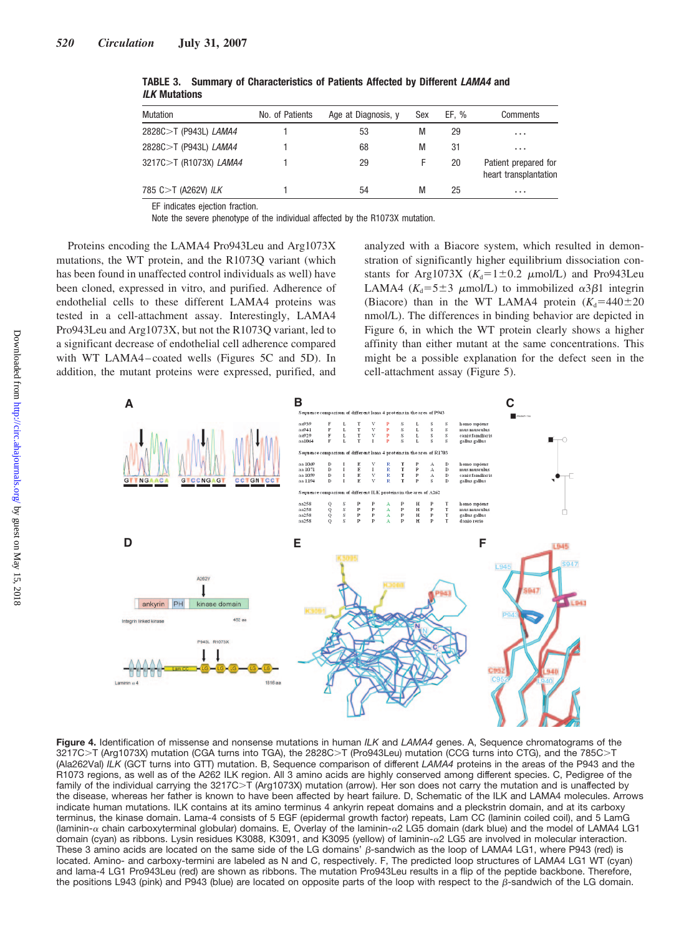| Mutation               | No. of Patients | Age at Diagnosis, y | Sex | EF. % | Comments                                      |
|------------------------|-----------------|---------------------|-----|-------|-----------------------------------------------|
| 2828C>T (P943L) LAMA4  |                 | 53                  | М   | 29    | $\cdots$                                      |
| 2828C>T (P943L) LAMA4  |                 | 68                  | М   | 31    | $\cdots$                                      |
| 3217C>T (R1073X) LAMA4 |                 | 29                  | F   | 20    | Patient prepared for<br>heart transplantation |
| 785 C>T (A262V) ILK    |                 | 54                  | М   | 25    | $\cdots$                                      |

**TABLE 3. Summary of Characteristics of Patients Affected by Different** *LAMA4* **and** *ILK* **Mutations**

EF indicates ejection fraction.

Note the severe phenotype of the individual affected by the R1073X mutation.

Proteins encoding the LAMA4 Pro943Leu and Arg1073X mutations, the WT protein, and the R1073Q variant (which has been found in unaffected control individuals as well) have been cloned, expressed in vitro, and purified. Adherence of endothelial cells to these different LAMA4 proteins was tested in a cell-attachment assay. Interestingly, LAMA4 Pro943Leu and Arg1073X, but not the R1073Q variant, led to a significant decrease of endothelial cell adherence compared with WT LAMA4 – coated wells (Figures 5C and 5D). In addition, the mutant proteins were expressed, purified, and analyzed with a Biacore system, which resulted in demonstration of significantly higher equilibrium dissociation constants for Arg1073X  $(K_d=1 \pm 0.2 \mu \text{mol/L})$  and Pro943Leu LAMA4 ( $K_d = 5 \pm 3$   $\mu$ mol/L) to immobilized  $\alpha 3\beta 1$  integrin (Biacore) than in the WT LAMA4 protein  $(K_d=440\pm 20)$ nmol/L). The differences in binding behavior are depicted in Figure 6, in which the WT protein clearly shows a higher affinity than either mutant at the same concentrations. This might be a possible explanation for the defect seen in the cell-attachment assay (Figure 5).



**Figure 4.** Identification of missense and nonsense mutations in human *ILK* and *LAMA4* genes. A, Sequence chromatograms of the 3217C>T (Arg1073X) mutation (CGA turns into TGA), the 2828C>T (Pro943Leu) mutation (CCG turns into CTG), and the 785C>T (Ala262Val) *ILK* (GCT turns into GTT) mutation. B, Sequence comparison of different *LAMA4* proteins in the areas of the P943 and the R1073 regions, as well as of the A262 ILK region. All 3 amino acids are highly conserved among different species. C, Pedigree of the family of the individual carrying the 3217C>T (Arg1073X) mutation (arrow). Her son does not carry the mutation and is unaffected by the disease, whereas her father is known to have been affected by heart failure. D, Schematic of the ILK and LAMA4 molecules. Arrows indicate human mutations. ILK contains at its amino terminus 4 ankyrin repeat domains and a pleckstrin domain, and at its carboxy terminus, the kinase domain. Lama-4 consists of 5 EGF (epidermal growth factor) repeats, Lam CC (laminin coiled coil), and 5 LamG (laminin- $\alpha$  chain carboxyterminal globular) domains. E, Overlay of the laminin- $\alpha$ 2 LG5 domain (dark blue) and the model of LAMA4 LG1 domain (cyan) as ribbons. Lysin residues K3088, K3091, and K3095 (yellow) of laminin-α 2 LG5 are involved in molecular interaction. These 3 amino acids are located on the same side of the LG domains'  $\beta$ -sandwich as the loop of LAMA4 LG1, where P943 (red) is located. Amino- and carboxy-termini are labeled as N and C, respectively. F, The predicted loop structures of LAMA4 LG1 WT (cyan) and lama-4 LG1 Pro943Leu (red) are shown as ribbons. The mutation Pro943Leu results in a flip of the peptide backbone. Therefore, the positions L943 (pink) and P943 (blue) are located on opposite parts of the loop with respect to the  $\beta$ -sandwich of the LG domain.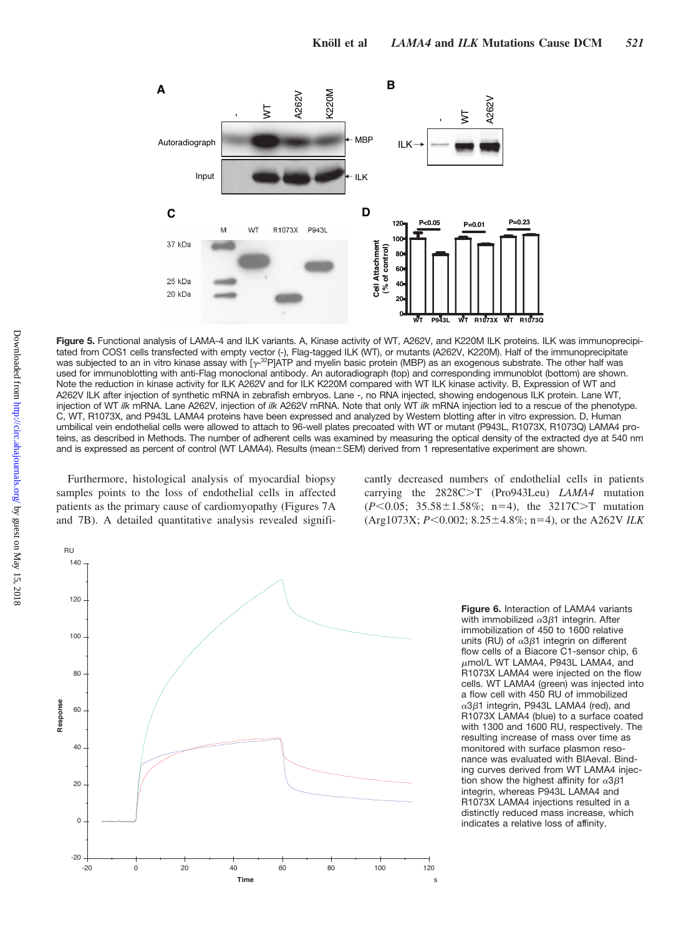

**Figure 5.** Functional analysis of LAMA-4 and ILK variants. A, Kinase activity of WT, A262V, and K220M ILK proteins. ILK was immunoprecipitated from COS1 cells transfected with empty vector (-), Flag-tagged ILK (WT), or mutants (A262V, K220M). Half of the immunoprecipitate was subjected to an in vitro kinase assay with [ $\gamma$ -<sup>32</sup>P]ATP and myelin basic protein (MBP) as an exogenous substrate. The other half was used for immunoblotting with anti-Flag monoclonal antibody. An autoradiograph (top) and corresponding immunoblot (bottom) are shown. Note the reduction in kinase activity for ILK A262V and for ILK K220M compared with WT ILK kinase activity. B, Expression of WT and A262V ILK after injection of synthetic mRNA in zebrafish embryos. Lane -, no RNA injected, showing endogenous ILK protein. Lane WT, injection of WT *ilk* mRNA. Lane A262V, injection of *ilk* A262V mRNA. Note that only WT *ilk* mRNA injection led to a rescue of the phenotype. C, WT, R1073X, and P943L LAMA4 proteins have been expressed and analyzed by Western blotting after in vitro expression. D, Human umbilical vein endothelial cells were allowed to attach to 96-well plates precoated with WT or mutant (P943L, R1073X, R1073Q) LAMA4 proteins, as described in Methods. The number of adherent cells was examined by measuring the optical density of the extracted dye at 540 nm and is expressed as percent of control (WT LAMA4). Results (mean±SEM) derived from 1 representative experiment are shown.

Furthermore, histological analysis of myocardial biopsy samples points to the loss of endothelial cells in affected patients as the primary cause of cardiomyopathy (Figures 7A and 7B). A detailed quantitative analysis revealed signifi-

cantly decreased numbers of endothelial cells in patients carrying the 2828C>T (Pro943Leu) *LAMA4* mutation  $(P<0.05; 35.58 \pm 1.58\%; n=4)$ , the 3217C>T mutation (Arg1073X; *P*<0.002; 8.25 ±4.8%; n=4), or the A262V ILK



**Figure 6.** Interaction of LAMA4 variants with immobilized  $\alpha$ 3 $\beta$ 1 integrin. After immobilization of 450 to 1600 relative units (RU) of  $\alpha$ 3 $\beta$ 1 integrin on different flow cells of a Biacore C1-sensor chip, 6  $\mu$ mol/L WT LAMA4, P943L LAMA4, and R1073X LAMA4 were injected on the flow cells. WT LAMA4 (green) was injected into a flow cell with 450 RU of immobilized  $\alpha$ 3 $\beta$ 1 integrin, P943L LAMA4 (red), and R1073X LAMA4 (blue) to a surface coated with 1300 and 1600 RU, respectively. The resulting increase of mass over time as monitored with surface plasmon resonance was evaluated with BIAeval. Binding curves derived from WT LAMA4 injection show the highest affinity for  $\alpha$ 3 $\beta$ 1 integrin, whereas P943L LAMA4 and R1073X LAMA4 injections resulted in a distinctly reduced mass increase, which indicates a relative loss of affinity.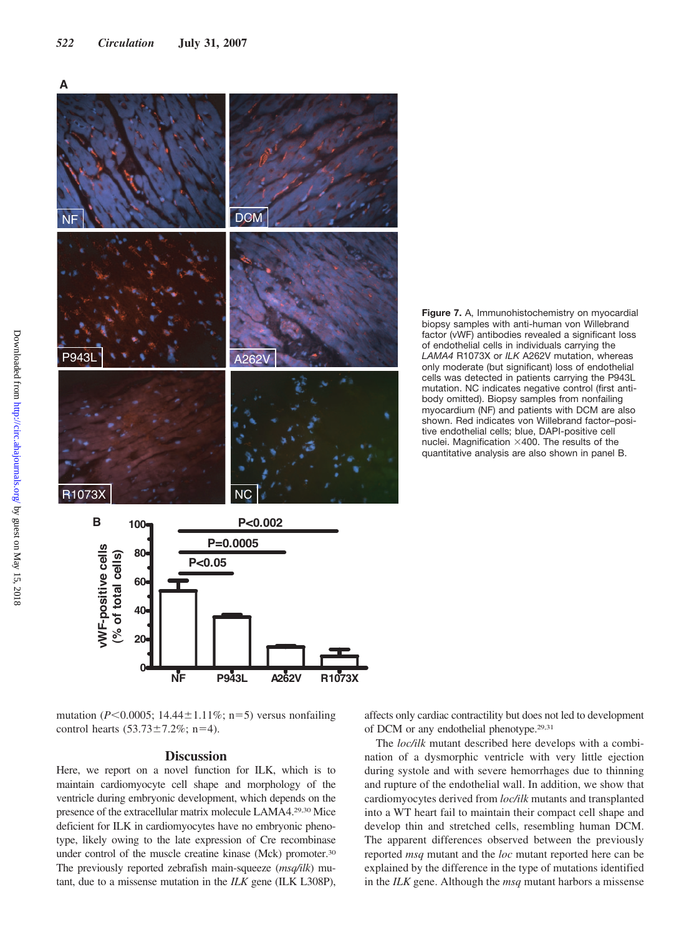



biopsy samples with anti-human von Willebrand factor (vWF) antibodies revealed a significant loss of endothelial cells in individuals carrying the *LAMA4* R1073X or *ILK* A262V mutation, whereas only moderate (but significant) loss of endothelial cells was detected in patients carrying the P943L mutation. NC indicates negative control (first antibody omitted). Biopsy samples from nonfailing myocardium (NF) and patients with DCM are also shown. Red indicates von Willebrand factor–positive endothelial cells; blue, DAPI-positive cell nuclei. Magnification  $\times$ 400. The results of the quantitative analysis are also shown in panel B.

**Figure 7.** A, Immunohistochemistry on myocardial

mutation ( $P \le 0.0005$ ; 14.44 $\pm$ 1.11%; n=5) versus nonfailing control hearts  $(53.73 \pm 7.2\%)$ ; n=4).

#### **Discussion**

Here, we report on a novel function for ILK, which is to maintain cardiomyocyte cell shape and morphology of the ventricle during embryonic development, which depends on the presence of the extracellular matrix molecule LAMA4.29,30 Mice deficient for ILK in cardiomyocytes have no embryonic phenotype, likely owing to the late expression of Cre recombinase under control of the muscle creatine kinase (Mck) promoter.30 The previously reported zebrafish main-squeeze (*msq/ilk*) mutant, due to a missense mutation in the *ILK* gene (ILK L308P), affects only cardiac contractility but does not led to development of DCM or any endothelial phenotype.29,31

The *loc/ilk* mutant described here develops with a combination of a dysmorphic ventricle with very little ejection during systole and with severe hemorrhages due to thinning and rupture of the endothelial wall. In addition, we show that cardiomyocytes derived from *loc/ilk* mutants and transplanted into a WT heart fail to maintain their compact cell shape and develop thin and stretched cells, resembling human DCM. The apparent differences observed between the previously reported *msq* mutant and the *loc* mutant reported here can be explained by the difference in the type of mutations identified in the *ILK* gene. Although the *msq* mutant harbors a missense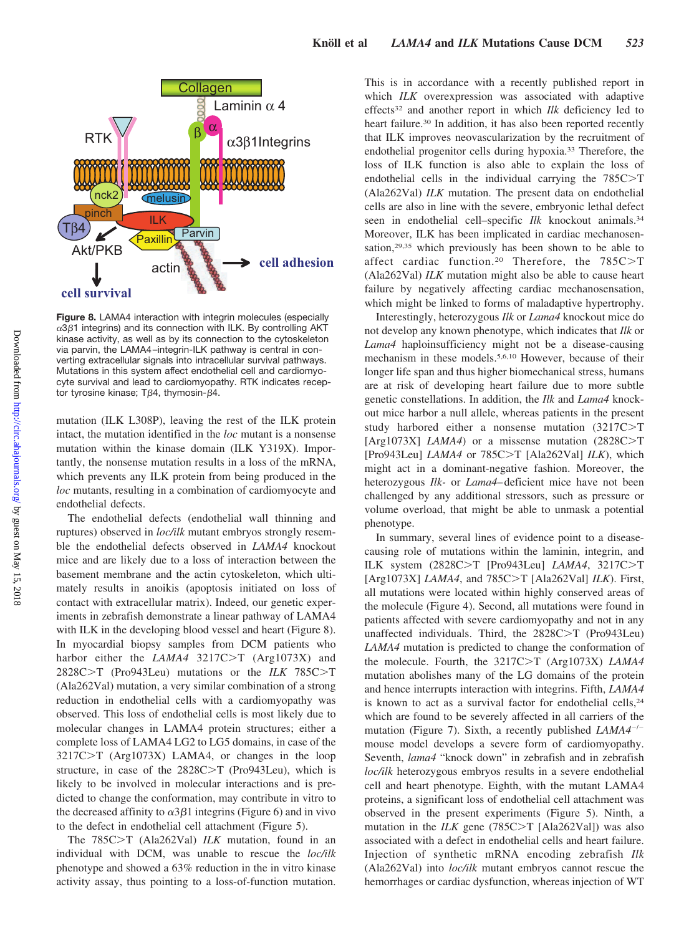

**Figure 8.** LAMA4 interaction with integrin molecules (especially  $\alpha$ 3 $\beta$ 1 integrins) and its connection with ILK. By controlling AKT kinase activity, as well as by its connection to the cytoskeleton via parvin, the LAMA4 –integrin-ILK pathway is central in converting extracellular signals into intracellular survival pathways. Mutations in this system affect endothelial cell and cardiomyocyte survival and lead to cardiomyopathy. RTK indicates receptor tyrosine kinase;  $T\beta4$ , thymosin- $\beta4$ .

mutation (ILK L308P), leaving the rest of the ILK protein intact, the mutation identified in the *loc* mutant is a nonsense mutation within the kinase domain (ILK Y319X). Importantly, the nonsense mutation results in a loss of the mRNA, which prevents any ILK protein from being produced in the *loc* mutants, resulting in a combination of cardiomyocyte and endothelial defects.

The endothelial defects (endothelial wall thinning and ruptures) observed in *loc/ilk* mutant embryos strongly resemble the endothelial defects observed in *LAMA4* knockout mice and are likely due to a loss of interaction between the basement membrane and the actin cytoskeleton, which ultimately results in anoikis (apoptosis initiated on loss of contact with extracellular matrix). Indeed, our genetic experiments in zebrafish demonstrate a linear pathway of LAMA4 with ILK in the developing blood vessel and heart (Figure 8). In myocardial biopsy samples from DCM patients who harbor either the *LAMA4* 3217C>T (Arg1073X) and 2828C>T (Pro943Leu) mutations or the *ILK* 785C>T (Ala262Val) mutation, a very similar combination of a strong reduction in endothelial cells with a cardiomyopathy was observed. This loss of endothelial cells is most likely due to molecular changes in LAMA4 protein structures; either a complete loss of LAMA4 LG2 to LG5 domains, in case of the  $3217C>T$  (Arg1073X) LAMA4, or changes in the loop structure, in case of the  $2828C>T$  (Pro943Leu), which is likely to be involved in molecular interactions and is predicted to change the conformation, may contribute in vitro to the decreased affinity to  $\alpha 3\beta 1$  integrins (Figure 6) and in vivo to the defect in endothelial cell attachment (Figure 5).

The 785C>T (Ala262Val) *ILK* mutation, found in an individual with DCM, was unable to rescue the *loc/ilk* phenotype and showed a 63% reduction in the in vitro kinase activity assay, thus pointing to a loss-of-function mutation.

This is in accordance with a recently published report in which *ILK* overexpression was associated with adaptive effects32 and another report in which *Ilk* deficiency led to heart failure.<sup>30</sup> In addition, it has also been reported recently that ILK improves neovascularization by the recruitment of endothelial progenitor cells during hypoxia.33 Therefore, the loss of ILK function is also able to explain the loss of endothelial cells in the individual carrying the  $785C>T$ (Ala262Val) *ILK* mutation. The present data on endothelial cells are also in line with the severe, embryonic lethal defect seen in endothelial cell–specific *Ilk* knockout animals.34 Moreover, ILK has been implicated in cardiac mechanosensation,29,35 which previously has been shown to be able to affect cardiac function.<sup>20</sup> Therefore, the  $785C>T$ (Ala262Val) *ILK* mutation might also be able to cause heart failure by negatively affecting cardiac mechanosensation, which might be linked to forms of maladaptive hypertrophy.

Interestingly, heterozygous *Ilk* or *Lama4* knockout mice do not develop any known phenotype, which indicates that *Ilk* or *Lama4* haploinsufficiency might not be a disease-causing mechanism in these models.5,6,10 However, because of their longer life span and thus higher biomechanical stress, humans are at risk of developing heart failure due to more subtle genetic constellations. In addition, the *Ilk* and *Lama4* knockout mice harbor a null allele, whereas patients in the present study harbored either a nonsense mutation  $(3217C>T)$ [Arg1073X] *LAMA4*) or a missense mutation  $(2828C > T)$ [Pro943Leu] *LAMA4* or 785C>T [Ala262Val] *ILK*), which might act in a dominant-negative fashion. Moreover, the heterozygous *Ilk-* or *Lama4*– deficient mice have not been challenged by any additional stressors, such as pressure or volume overload, that might be able to unmask a potential phenotype.

In summary, several lines of evidence point to a diseasecausing role of mutations within the laminin, integrin, and ILK system (2828C>T [Pro943Leu] *LAMA4*, 3217C>T [Arg1073X] *LAMA4*, and 785C>T [Ala262Val] *ILK*). First, all mutations were located within highly conserved areas of the molecule (Figure 4). Second, all mutations were found in patients affected with severe cardiomyopathy and not in any unaffected individuals. Third, the  $2828C>T$  (Pro943Leu) *LAMA4* mutation is predicted to change the conformation of the molecule. Fourth, the 3217C>T (Arg1073X) *LAMA4* mutation abolishes many of the LG domains of the protein and hence interrupts interaction with integrins. Fifth, *LAMA4* is known to act as a survival factor for endothelial cells,<sup>24</sup> which are found to be severely affected in all carriers of the mutation (Figure 7). Sixth, a recently published *LAMA4<sup>-/-</sup>* mouse model develops a severe form of cardiomyopathy. Seventh, *lama4* "knock down" in zebrafish and in zebrafish *loc/ilk* heterozygous embryos results in a severe endothelial cell and heart phenotype. Eighth, with the mutant LAMA4 proteins, a significant loss of endothelial cell attachment was observed in the present experiments (Figure 5). Ninth, a mutation in the  $ILK$  gene (785C $>$ T [Ala262Val]) was also associated with a defect in endothelial cells and heart failure. Injection of synthetic mRNA encoding zebrafish *Ilk* (Ala262Val) into *loc/ilk* mutant embryos cannot rescue the hemorrhages or cardiac dysfunction, whereas injection of WT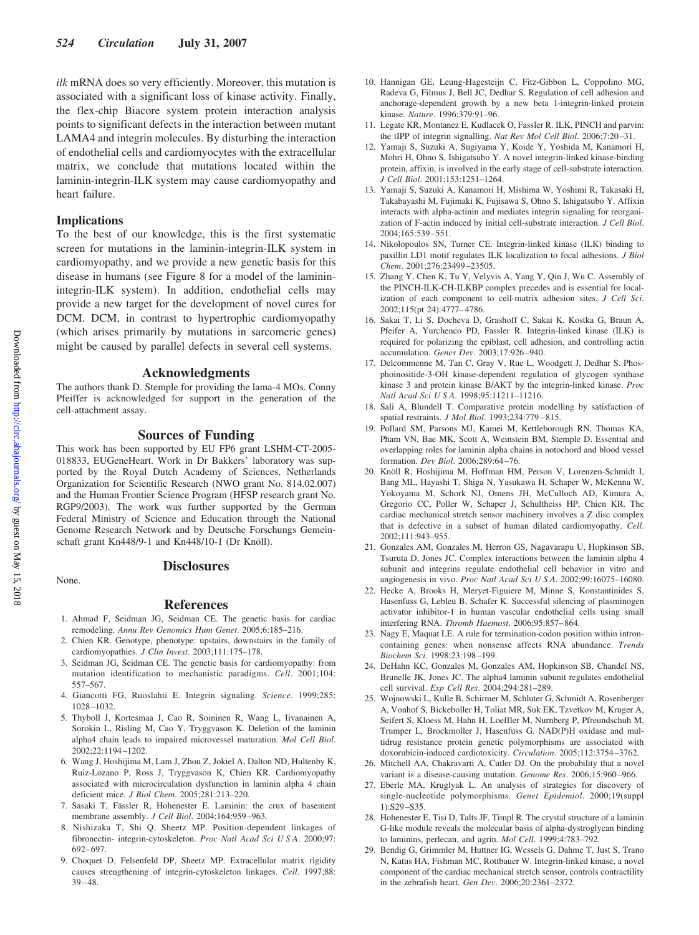*ilk* mRNA does so very efficiently. Moreover, this mutation is associated with a significant loss of kinase activity. Finally, the flex-chip Biacore system protein interaction analysis points to significant defects in the interaction between mutant LAMA4 and integrin molecules. By disturbing the interaction of endothelial cells and cardiomyocytes with the extracellular matrix, we conclude that mutations located within the laminin-integrin-ILK system may cause cardiomyopathy and heart failure.

#### **Implications**

To the best of our knowledge, this is the first systematic screen for mutations in the laminin-integrin-ILK system in cardiomyopathy, and we provide a new genetic basis for this disease in humans (see Figure 8 for a model of the lamininintegrin-ILK system). In addition, endothelial cells may provide a new target for the development of novel cures for DCM. DCM, in contrast to hypertrophic cardiomyopathy (which arises primarily by mutations in sarcomeric genes) might be caused by parallel defects in several cell systems.

#### **Acknowledgments**

The authors thank D. Stemple for providing the lama-4 MOs. Conny Pfeiffer is acknowledged for support in the generation of the cell-attachment assay.

#### **Sources of Funding**

This work has been supported by EU FP6 grant LSHM-CT-2005- 018833, EUGeneHeart. Work in Dr Bakkers' laboratory was supported by the Royal Dutch Academy of Sciences, Netherlands Organization for Scientific Research (NWO grant No. 814.02.007) and the Human Frontier Science Program (HFSP research grant No. RGP9/2003). The work was further supported by the German Federal Ministry of Science and Education through the National Genome Research Network and by Deutsche Forschungs Gemeinschaft grant Kn448/9-1 and Kn448/10-1 (Dr Knöll).

None.

# **Disclosures**

#### **References**

- 1. Ahmad F, Seidman JG, Seidman CE. The genetic basis for cardiac remodeling. *Annu Rev Genomics Hum Genet*. 2005;6:185–216.
- 2. Chien KR. Genotype, phenotype: upstairs, downstairs in the family of cardiomyopathies. *J Clin Invest*. 2003;111:175–178.
- 3. Seidman JG, Seidman CE. The genetic basis for cardiomyopathy: from mutation identification to mechanistic paradigms. *Cell*. 2001;104: 557–567.
- 4. Giancotti FG, Ruoslahti E. Integrin signaling. *Science*. 1999;285: 1028 –1032.
- 5. Thyboll J, Kortesmaa J, Cao R, Soininen R, Wang L, Iivanainen A, Sorokin L, Risling M, Cao Y, Tryggvason K. Deletion of the laminin alpha4 chain leads to impaired microvessel maturation. *Mol Cell Biol*. 2002;22:1194 –1202.
- 6. Wang J, Hoshijima M, Lam J, Zhou Z, Jokiel A, Dalton ND, Hultenby K, Ruiz-Lozano P, Ross J, Tryggvason K, Chien KR. Cardiomyopathy associated with microcirculation dysfunction in laminin alpha 4 chain deficient mice. *J Biol Chem*. 2005;281:213–220.
- 7. Sasaki T, Fässler R, Hohenester E. Laminin: the crux of basement membrane assembly. *J Cell Biol*. 2004;164:959 –963.
- 8. Nishizaka T, Shi Q, Sheetz MP. Position-dependent linkages of fibronectin- integrin-cytoskeleton. *Proc Natl Acad Sci U S A*. 2000;97: 692– 697.
- 9. Choquet D, Felsenfeld DP, Sheetz MP. Extracellular matrix rigidity causes strengthening of integrin-cytoskeleton linkages. *Cell*. 1997;88:  $39 - 48$
- 10. Hannigan GE, Leung-Hagesteijn C, Fitz-Gibbon L, Coppolino MG, Radeva G, Filmus J, Bell JC, Dedhar S. Regulation of cell adhesion and anchorage-dependent growth by a new beta 1-integrin-linked protein kinase. *Nature*. 1996;379:91–96.
- 11. Legate KR, Montanez E, Kudlacek O, Fassler R. ILK, PINCH and parvin: the tIPP of integrin signalling. *Nat Rev Mol Cell Biol*. 2006;7:20 –31.
- 12. Yamaji S, Suzuki A, Sugiyama Y, Koide Y, Yoshida M, Kanamori H, Mohri H, Ohno S, Ishigatsubo Y. A novel integrin-linked kinase-binding protein, affixin, is involved in the early stage of cell-substrate interaction. *J Cell Biol*. 2001;153:1251–1264.
- 13. Yamaji S, Suzuki A, Kanamori H, Mishima W, Yoshimi R, Takasaki H, Takabayashi M, Fujimaki K, Fujisawa S, Ohno S, Ishigatsubo Y. Affixin interacts with alpha-actinin and mediates integrin signaling for reorganization of F-actin induced by initial cell-substrate interaction. *J Cell Biol*. 2004;165:539 –551.
- 14. Nikolopoulos SN, Turner CE. Integrin-linked kinase (ILK) binding to paxillin LD1 motif regulates ILK localization to focal adhesions. *J Biol Chem*. 2001;276:23499 –23505.
- 15. Zhang Y, Chen K, Tu Y, Velyvis A, Yang Y, Qin J, Wu C. Assembly of the PINCH-ILK-CH-ILKBP complex precedes and is essential for localization of each component to cell-matrix adhesion sites. *J Cell Sci*. 2002;115(pt 24):4777– 4786.
- 16. Sakai T, Li S, Docheva D, Grashoff C, Sakai K, Kostka G, Braun A, Pfeifer A, Yurchenco PD, Fassler R. Integrin-linked kinase (ILK) is required for polarizing the epiblast, cell adhesion, and controlling actin accumulation. *Genes Dev*. 2003;17:926 –940.
- 17. Delcommenne M, Tan C, Gray V, Rue L, Woodgett J, Dedhar S. Phosphoinositide-3-OH kinase-dependent regulation of glycogen synthase kinase 3 and protein kinase B/AKT by the integrin-linked kinase. *Proc Natl Acad Sci U S A*. 1998;95:11211–11216.
- 18. Sali A, Blundell T. Comparative protein modelling by satisfaction of spatial restraints. *J Mol Biol*. 1993;234:779 – 815.
- 19. Pollard SM, Parsons MJ, Kamei M, Kettleborough RN, Thomas KA, Pham VN, Bae MK, Scott A, Weinstein BM, Stemple D. Essential and overlapping roles for laminin alpha chains in notochord and blood vessel formation. *Dev Biol*. 2006;289:64 –76.
- 20. Knöll R, Hoshijima M, Hoffman HM, Person V, Lorenzen-Schmidt I, Bang ML, Hayashi T, Shiga N, Yasukawa H, Schaper W, McKenna W, Yokoyama M, Schork NJ, Omens JH, McCulloch AD, Kimura A, Gregorio CC, Poller W, Schaper J, Schultheiss HP, Chien KR. The cardiac mechanical stretch sensor machinery involves a Z disc complex that is defective in a subset of human dilated cardiomyopathy. *Cell*. 2002;111:943–955.
- 21. Gonzales AM, Gonzales M, Herron GS, Nagavarapu U, Hopkinson SB, Tsuruta D, Jones JC. Complex interactions between the laminin alpha 4 subunit and integrins regulate endothelial cell behavior in vitro and angiogenesis in vivo. *Proc Natl Acad Sci U S A*. 2002;99:16075–16080.
- 22. Hecke A, Brooks H, Meryet-Figuiere M, Minne S, Konstantinides S, Hasenfuss G, Lebleu B, Schafer K. Successful silencing of plasminogen activator inhibitor-1 in human vascular endothelial cells using small interfering RNA. *Thromb Haemost*. 2006;95:857– 864.
- 23. Nagy E, Maquat LE. A rule for termination-codon position within introncontaining genes: when nonsense affects RNA abundance. *Trends Biochem Sci*. 1998;23:198 –199.
- 24. DeHahn KC, Gonzales M, Gonzales AM, Hopkinson SB, Chandel NS, Brunelle JK, Jones JC. The alpha4 laminin subunit regulates endothelial cell survival. *Exp Cell Res*. 2004;294:281–289.
- 25. Wojnowski L, Kulle B, Schirmer M, Schluter G, Schmidt A, Rosenberger A, Vonhof S, Bickeboller H, Toliat MR, Suk EK, Tzvetkov M, Kruger A, Seifert S, Kloess M, Hahn H, Loeffler M, Nurnberg P, Pfreundschuh M, Trumper L, Brockmoller J, Hasenfuss G. NAD(P)H oxidase and multidrug resistance protein genetic polymorphisms are associated with doxorubicin-induced cardiotoxicity. *Circulation*. 2005;112:3754 –3762.
- 26. Mitchell AA, Chakravarti A, Cutler DJ. On the probability that a novel variant is a disease-causing mutation. *Genome Res*. 2006;15:960 –966.
- 27. Eberle MA, Kruglyak L. An analysis of strategies for discovery of single-nucleotide polymorphisms. *Genet Epidemiol*. 2000;19(suppl 1):S29 –S35.
- 28. Hohenester E, Tisi D, Talts JF, Timpl R. The crystal structure of a laminin G-like module reveals the molecular basis of alpha-dystroglycan binding to laminins, perlecan, and agrin. *Mol Cell*. 1999;4:783–792.
- 29. Bendig G, Grimmler M, Huttner IG, Wessels G, Dahme T, Just S, Trano N, Katus HA, Fishman MC, Rottbauer W. Integrin-linked kinase, a novel component of the cardiac mechanical stretch sensor, controls contractility in the zebrafish heart. *Gen Dev*. 2006;20:2361–2372.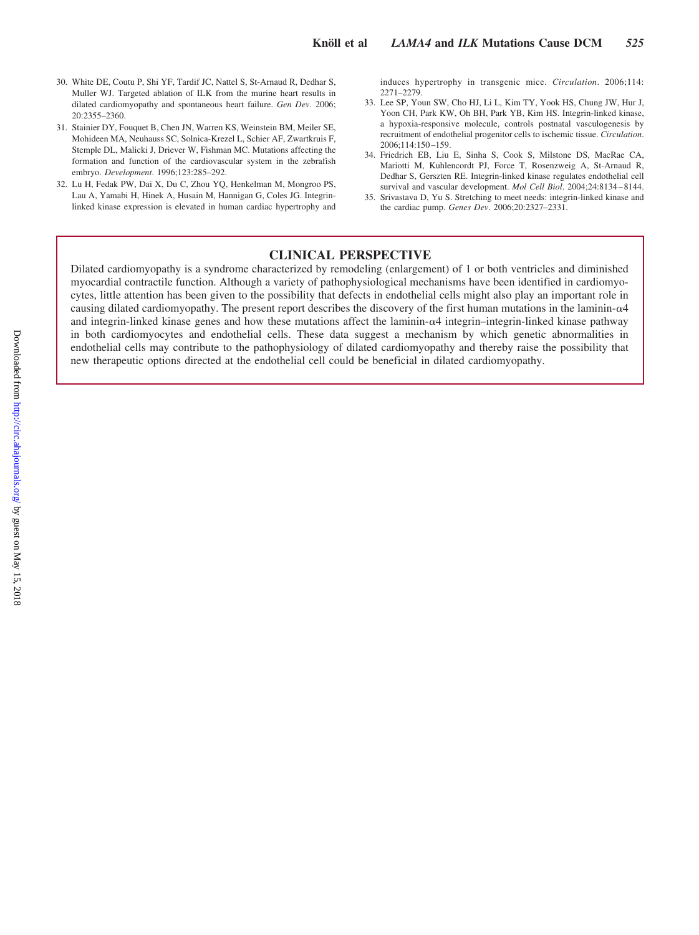- 30. White DE, Coutu P, Shi YF, Tardif JC, Nattel S, St-Arnaud R, Dedhar S, Muller WJ. Targeted ablation of ILK from the murine heart results in dilated cardiomyopathy and spontaneous heart failure. *Gen Dev*. 2006; 20:2355–2360.
- 31. Stainier DY, Fouquet B, Chen JN, Warren KS, Weinstein BM, Meiler SE, Mohideen MA, Neuhauss SC, Solnica-Krezel L, Schier AF, Zwartkruis F, Stemple DL, Malicki J, Driever W, Fishman MC. Mutations affecting the formation and function of the cardiovascular system in the zebrafish embryo. *Development*. 1996;123:285–292.
- 32. Lu H, Fedak PW, Dai X, Du C, Zhou YQ, Henkelman M, Mongroo PS, Lau A, Yamabi H, Hinek A, Husain M, Hannigan G, Coles JG. Integrinlinked kinase expression is elevated in human cardiac hypertrophy and

induces hypertrophy in transgenic mice. *Circulation*. 2006;114: 2271–2279.

- 33. Lee SP, Youn SW, Cho HJ, Li L, Kim TY, Yook HS, Chung JW, Hur J, Yoon CH, Park KW, Oh BH, Park YB, Kim HS. Integrin-linked kinase, a hypoxia-responsive molecule, controls postnatal vasculogenesis by recruitment of endothelial progenitor cells to ischemic tissue. *Circulation*. 2006;114:150 –159.
- 34. Friedrich EB, Liu E, Sinha S, Cook S, Milstone DS, MacRae CA, Mariotti M, Kuhlencordt PJ, Force T, Rosenzweig A, St-Arnaud R, Dedhar S, Gerszten RE. Integrin-linked kinase regulates endothelial cell survival and vascular development. *Mol Cell Biol*. 2004;24:8134 – 8144.
- 35. Srivastava D, Yu S. Stretching to meet needs: integrin-linked kinase and the cardiac pump. *Genes Dev*. 2006;20:2327–2331.

# **CLINICAL PERSPECTIVE**

Dilated cardiomyopathy is a syndrome characterized by remodeling (enlargement) of 1 or both ventricles and diminished myocardial contractile function. Although a variety of pathophysiological mechanisms have been identified in cardiomyocytes, little attention has been given to the possibility that defects in endothelial cells might also play an important role in causing dilated cardiomyopathy. The present report describes the discovery of the first human mutations in the laminin- $\alpha$ 4 and integrin-linked kinase genes and how these mutations affect the laminin- $\alpha$ <sup>4</sup> integrin–integrin-linked kinase pathway in both cardiomyocytes and endothelial cells. These data suggest a mechanism by which genetic abnormalities in endothelial cells may contribute to the pathophysiology of dilated cardiomyopathy and thereby raise the possibility that new therapeutic options directed at the endothelial cell could be beneficial in dilated cardiomyopathy.